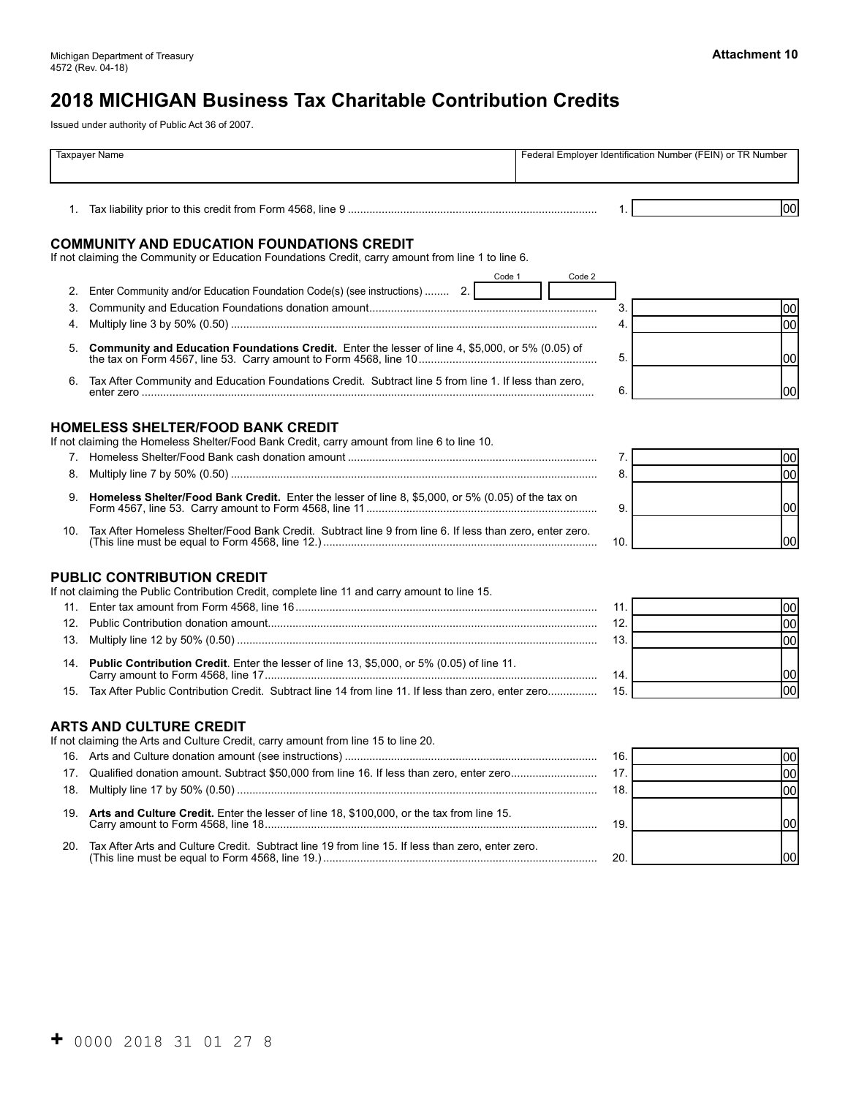# **2018 MICHIGAN Business Tax Charitable Contribution Credits**

Issued under authority of Public Act 36 of 2007.

| Taxpayer Name |                                                                                                                                                                                             | Federal Employer Identification Number (FEIN) or TR Number |      |
|---------------|---------------------------------------------------------------------------------------------------------------------------------------------------------------------------------------------|------------------------------------------------------------|------|
|               |                                                                                                                                                                                             |                                                            | lool |
|               | <b>COMMUNITY AND EDUCATION FOUNDATIONS CREDIT</b><br>If not claiming the Community or Education Foundations Credit, carry amount from line 1 to line 6.                                     |                                                            |      |
|               | Code 1<br>2. Enter Community and/or Education Foundation Code(s) (see instructions)  2.                                                                                                     | Code 2                                                     |      |
| 3.            |                                                                                                                                                                                             | 3.                                                         | 00   |
| 4.            |                                                                                                                                                                                             | 4.                                                         | 00   |
| 5.            | Community and Education Foundations Credit. Enter the lesser of line 4, \$5,000, or 5% (0.05) of                                                                                            | 5.                                                         | lool |
| 6.            | Tax After Community and Education Foundations Credit. Subtract line 5 from line 1. If less than zero,                                                                                       | 6.                                                         | 100  |
|               | <b>HOMELESS SHELTER/FOOD BANK CREDIT</b><br>If not claiming the Homeless Shelter/Food Bank Credit, carry amount from line 6 to line 10.                                                     | 7.                                                         | 00   |
|               |                                                                                                                                                                                             | 8.                                                         | 00   |
|               | 9. Homeless Shelter/Food Bank Credit. Enter the lesser of line 8, \$5,000, or 5% (0.05) of the tax on                                                                                       | 9.                                                         | lool |
| 10.           | Tax After Homeless Shelter/Food Bank Credit. Subtract line 9 from line 6. If less than zero, enter zero.<br>(This line must be equal to Form 4568, line 12.)………………………………………………………………………………… | 10.                                                        | 100  |
|               | <b>PUBLIC CONTRIBUTION CREDIT</b><br>If not claiming the Public Contribution Credit, complete line 11 and carry amount to line 15.                                                          |                                                            |      |
|               |                                                                                                                                                                                             | 11.                                                        | 00   |
|               |                                                                                                                                                                                             | 12.                                                        | 00   |
| 13.           |                                                                                                                                                                                             | 13.                                                        | 00   |
|               | 14. Public Contribution Credit. Enter the lesser of line 13, \$5,000, or 5% (0.05) of line 11.                                                                                              | 14.                                                        | 1001 |
|               | 15. Tax After Public Contribution Credit. Subtract line 14 from line 11. If less than zero, enter zero                                                                                      | 15.                                                        | 00   |
|               | <b>ARTS AND CULTURE CREDIT</b><br>If not claiming the Arts and Culture Credit, carry amount from line 15 to line 20.                                                                        |                                                            |      |
|               |                                                                                                                                                                                             | 16.                                                        | 00   |
|               | 17. Qualified donation amount. Subtract \$50,000 from line 16. If less than zero, enter zero                                                                                                | 17.                                                        | 00   |
| 18.           |                                                                                                                                                                                             | 18.                                                        | 00   |
|               | 19. Arts and Culture Credit. Enter the lesser of line 18, \$100,000, or the tax from line 15.                                                                                               | 19.                                                        | 00   |
|               | 20. Tax After Arts and Culture Credit. Subtract line 19 from line 15. If less than zero, enter zero.                                                                                        | 20.                                                        | 1001 |